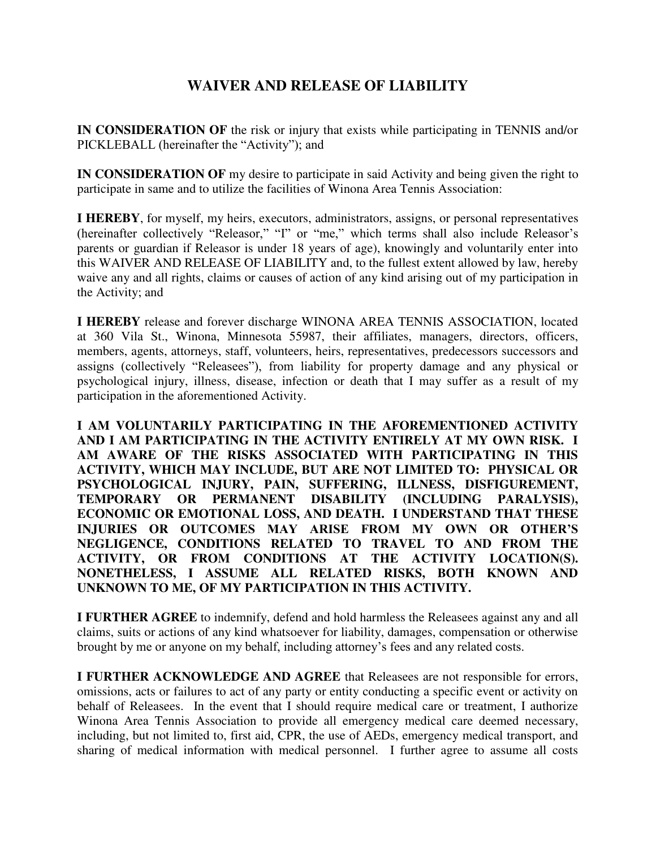## **WAIVER AND RELEASE OF LIABILITY**

**IN CONSIDERATION OF** the risk or injury that exists while participating in TENNIS and/or PICKLEBALL (hereinafter the "Activity"); and

**IN CONSIDERATION OF** my desire to participate in said Activity and being given the right to participate in same and to utilize the facilities of Winona Area Tennis Association:

**I HEREBY**, for myself, my heirs, executors, administrators, assigns, or personal representatives (hereinafter collectively "Releasor," "I" or "me," which terms shall also include Releasor's parents or guardian if Releasor is under 18 years of age), knowingly and voluntarily enter into this WAIVER AND RELEASE OF LIABILITY and, to the fullest extent allowed by law, hereby waive any and all rights, claims or causes of action of any kind arising out of my participation in the Activity; and

**I HEREBY** release and forever discharge WINONA AREA TENNIS ASSOCIATION, located at 360 Vila St., Winona, Minnesota 55987, their affiliates, managers, directors, officers, members, agents, attorneys, staff, volunteers, heirs, representatives, predecessors successors and assigns (collectively "Releasees"), from liability for property damage and any physical or psychological injury, illness, disease, infection or death that I may suffer as a result of my participation in the aforementioned Activity.

**I AM VOLUNTARILY PARTICIPATING IN THE AFOREMENTIONED ACTIVITY AND I AM PARTICIPATING IN THE ACTIVITY ENTIRELY AT MY OWN RISK. I AM AWARE OF THE RISKS ASSOCIATED WITH PARTICIPATING IN THIS ACTIVITY, WHICH MAY INCLUDE, BUT ARE NOT LIMITED TO: PHYSICAL OR PSYCHOLOGICAL INJURY, PAIN, SUFFERING, ILLNESS, DISFIGUREMENT, TEMPORARY OR PERMANENT DISABILITY (INCLUDING PARALYSIS), ECONOMIC OR EMOTIONAL LOSS, AND DEATH. I UNDERSTAND THAT THESE INJURIES OR OUTCOMES MAY ARISE FROM MY OWN OR OTHER'S NEGLIGENCE, CONDITIONS RELATED TO TRAVEL TO AND FROM THE ACTIVITY, OR FROM CONDITIONS AT THE ACTIVITY LOCATION(S). NONETHELESS, I ASSUME ALL RELATED RISKS, BOTH KNOWN AND UNKNOWN TO ME, OF MY PARTICIPATION IN THIS ACTIVITY.** 

**I FURTHER AGREE** to indemnify, defend and hold harmless the Releasees against any and all claims, suits or actions of any kind whatsoever for liability, damages, compensation or otherwise brought by me or anyone on my behalf, including attorney's fees and any related costs.

**I FURTHER ACKNOWLEDGE AND AGREE** that Releasees are not responsible for errors, omissions, acts or failures to act of any party or entity conducting a specific event or activity on behalf of Releasees. In the event that I should require medical care or treatment, I authorize Winona Area Tennis Association to provide all emergency medical care deemed necessary, including, but not limited to, first aid, CPR, the use of AEDs, emergency medical transport, and sharing of medical information with medical personnel. I further agree to assume all costs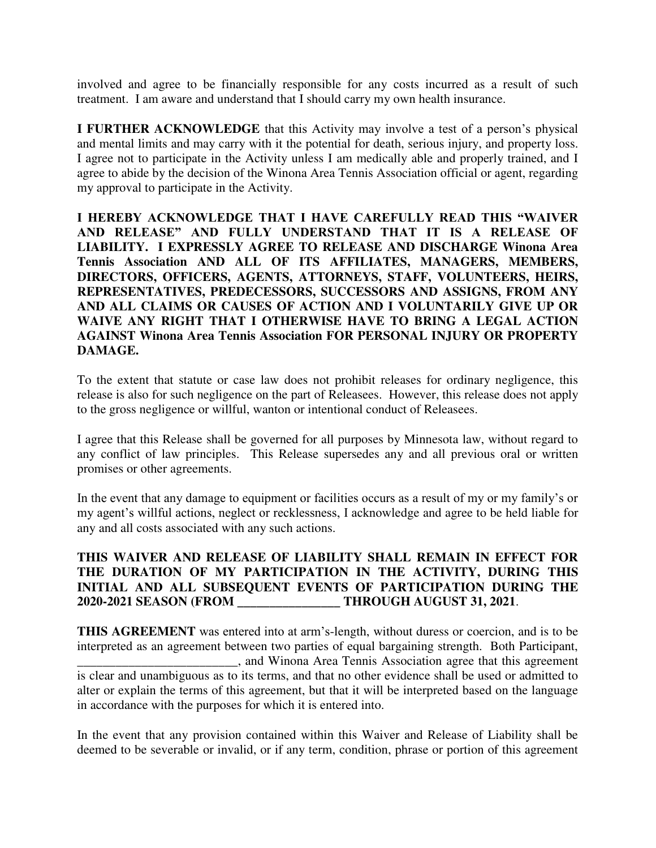involved and agree to be financially responsible for any costs incurred as a result of such treatment. I am aware and understand that I should carry my own health insurance.

**I FURTHER ACKNOWLEDGE** that this Activity may involve a test of a person's physical and mental limits and may carry with it the potential for death, serious injury, and property loss. I agree not to participate in the Activity unless I am medically able and properly trained, and I agree to abide by the decision of the Winona Area Tennis Association official or agent, regarding my approval to participate in the Activity.

**I HEREBY ACKNOWLEDGE THAT I HAVE CAREFULLY READ THIS "WAIVER AND RELEASE" AND FULLY UNDERSTAND THAT IT IS A RELEASE OF LIABILITY. I EXPRESSLY AGREE TO RELEASE AND DISCHARGE Winona Area Tennis Association AND ALL OF ITS AFFILIATES, MANAGERS, MEMBERS, DIRECTORS, OFFICERS, AGENTS, ATTORNEYS, STAFF, VOLUNTEERS, HEIRS, REPRESENTATIVES, PREDECESSORS, SUCCESSORS AND ASSIGNS, FROM ANY AND ALL CLAIMS OR CAUSES OF ACTION AND I VOLUNTARILY GIVE UP OR WAIVE ANY RIGHT THAT I OTHERWISE HAVE TO BRING A LEGAL ACTION AGAINST Winona Area Tennis Association FOR PERSONAL INJURY OR PROPERTY DAMAGE.** 

To the extent that statute or case law does not prohibit releases for ordinary negligence, this release is also for such negligence on the part of Releasees. However, this release does not apply to the gross negligence or willful, wanton or intentional conduct of Releasees.

I agree that this Release shall be governed for all purposes by Minnesota law, without regard to any conflict of law principles. This Release supersedes any and all previous oral or written promises or other agreements.

In the event that any damage to equipment or facilities occurs as a result of my or my family's or my agent's willful actions, neglect or recklessness, I acknowledge and agree to be held liable for any and all costs associated with any such actions.

## **THIS WAIVER AND RELEASE OF LIABILITY SHALL REMAIN IN EFFECT FOR THE DURATION OF MY PARTICIPATION IN THE ACTIVITY, DURING THIS INITIAL AND ALL SUBSEQUENT EVENTS OF PARTICIPATION DURING THE 2020-2021 SEASON (FROM \_\_\_\_\_\_\_\_\_\_\_\_\_\_\_\_ THROUGH AUGUST 31, 2021**.

**THIS AGREEMENT** was entered into at arm's-length, without duress or coercion, and is to be interpreted as an agreement between two parties of equal bargaining strength. Both Participant, \_\_\_\_\_\_\_\_\_\_\_\_\_\_\_\_\_\_\_\_\_\_\_\_\_, and Winona Area Tennis Association agree that this agreement is clear and unambiguous as to its terms, and that no other evidence shall be used or admitted to alter or explain the terms of this agreement, but that it will be interpreted based on the language in accordance with the purposes for which it is entered into.

In the event that any provision contained within this Waiver and Release of Liability shall be deemed to be severable or invalid, or if any term, condition, phrase or portion of this agreement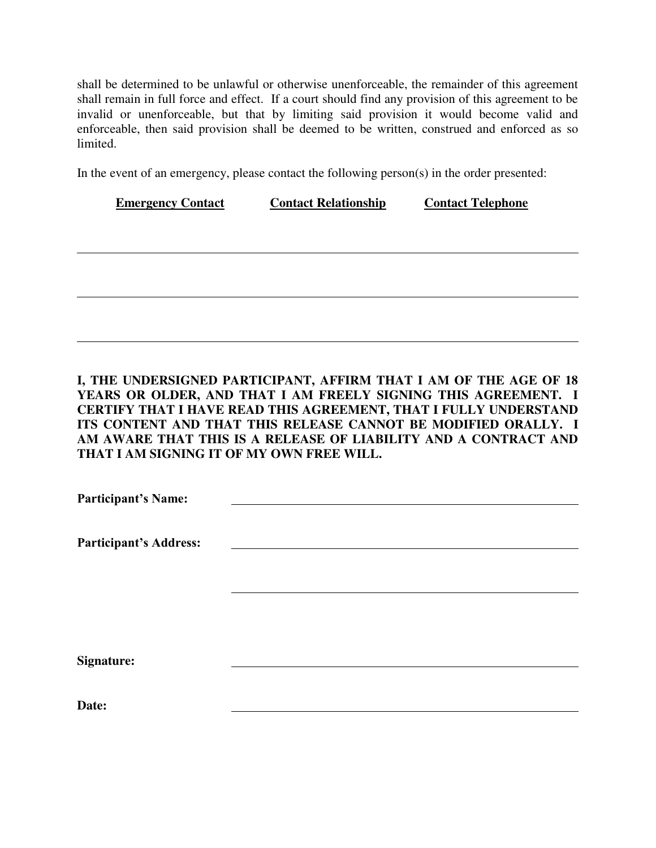shall be determined to be unlawful or otherwise unenforceable, the remainder of this agreement shall remain in full force and effect. If a court should find any provision of this agreement to be invalid or unenforceable, but that by limiting said provision it would become valid and enforceable, then said provision shall be deemed to be written, construed and enforced as so limited.

In the event of an emergency, please contact the following person(s) in the order presented:

| <b>Emergency Contact</b> | <b>Contact Relationship</b> | <b>Contact Telephone</b> |  |
|--------------------------|-----------------------------|--------------------------|--|
|                          |                             |                          |  |
|                          |                             |                          |  |
|                          |                             |                          |  |
|                          |                             |                          |  |
|                          |                             |                          |  |
|                          |                             |                          |  |
|                          |                             |                          |  |

## **I, THE UNDERSIGNED PARTICIPANT, AFFIRM THAT I AM OF THE AGE OF 18 YEARS OR OLDER, AND THAT I AM FREELY SIGNING THIS AGREEMENT. I CERTIFY THAT I HAVE READ THIS AGREEMENT, THAT I FULLY UNDERSTAND ITS CONTENT AND THAT THIS RELEASE CANNOT BE MODIFIED ORALLY. I AM AWARE THAT THIS IS A RELEASE OF LIABILITY AND A CONTRACT AND THAT I AM SIGNING IT OF MY OWN FREE WILL.**

| <b>Participant's Name:</b>    |  |  |
|-------------------------------|--|--|
|                               |  |  |
| <b>Participant's Address:</b> |  |  |
|                               |  |  |
|                               |  |  |
|                               |  |  |
|                               |  |  |
|                               |  |  |
| <b>Signature:</b>             |  |  |
|                               |  |  |
| Date:                         |  |  |
|                               |  |  |